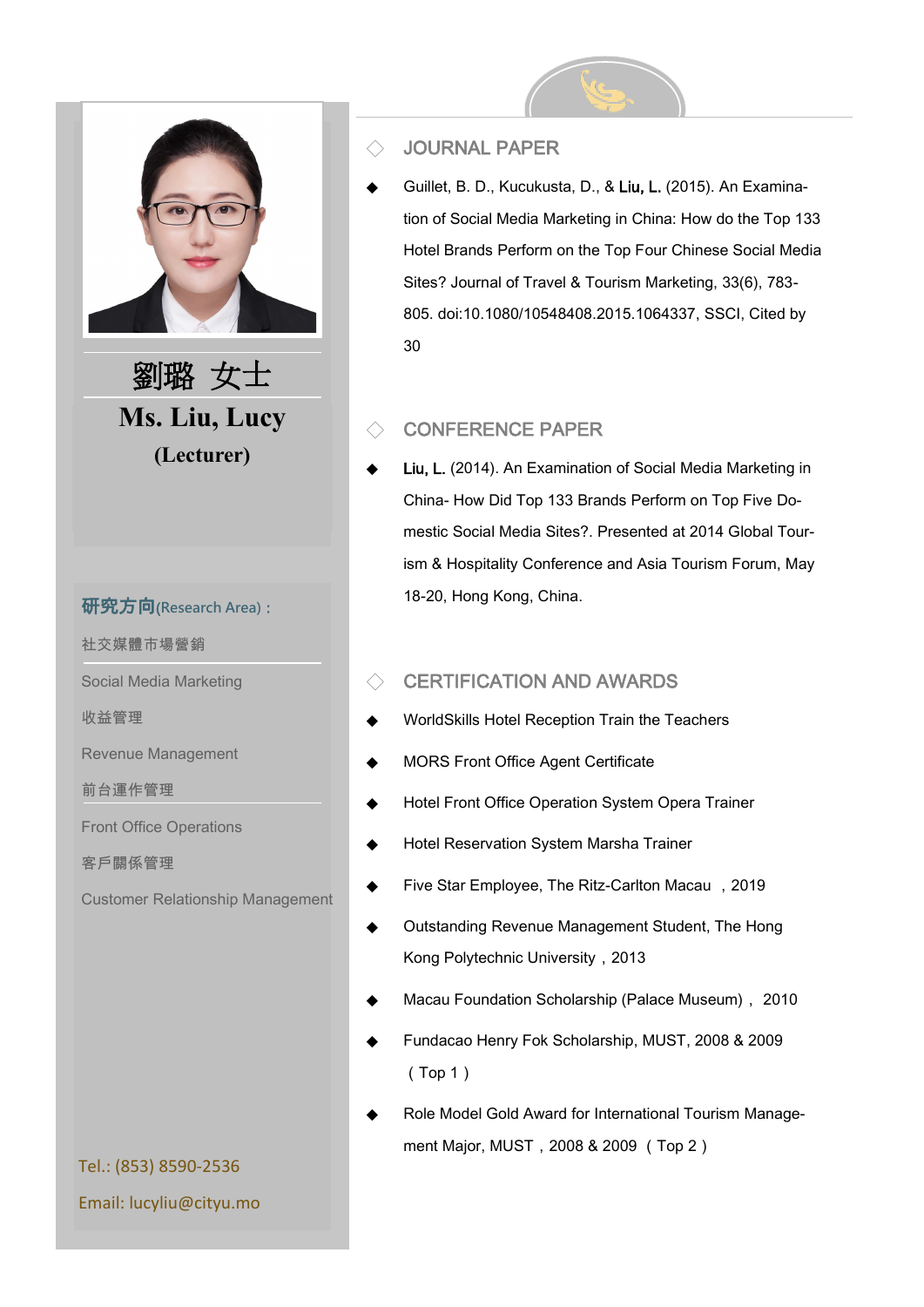

**Ms. Liu, Lucy (Lecturer)** 劉璐 女士

### 研究方向(**Research Area)**:

社交媒體市場營銷

Social Media Marketing

收益管理

Revenue Management

前台運作管理

Front Office Operations

客戶關係管理

Customer Relationship Management

### ◇ JOURNAL PAPER

Guillet, B. D., Kucukusta, D., & Liu, L. (2015). An Examination of Social Media Marketing in China: How do the Top 133 Hotel Brands Perform on the Top Four Chinese Social Media Sites? Journal of Travel & Tourism Marketing, 33(6), 783- 805. doi:10.1080/10548408.2015.1064337, SSCI, Cited by 30

## ◇ CONFERENCE PAPER

Liu, L. (2014). An Examination of Social Media Marketing in China- How Did Top 133 Brands Perform on Top Five Domestic Social Media Sites?. Presented at 2014 Global Tourism & Hospitality Conference and Asia Tourism Forum, May 18-20, Hong Kong, China.

### $\Diamond$  CERTIFICATION AND AWARDS

- WorldSkills Hotel Reception Train the Teachers
- **MORS Front Office Agent Certificate**
- Hotel Front Office Operation System Opera Trainer
- **Hotel Reservation System Marsha Trainer**
- Five Star Employee, The Ritz-Carlton Macau, 2019
- Outstanding Revenue Management Student, The Hong Kong Polytechnic University,2013
- Macau Foundation Scholarship (Palace Museum), 2010
- Fundacao Henry Fok Scholarship, MUST, 2008 & 2009 (Top 1)
- Role Model Gold Award for International Tourism Management Major, MUST, 2008 & 2009 (Top 2)

Tel.: (853) 8590-2536 Email: lucyliu@cityu.mo